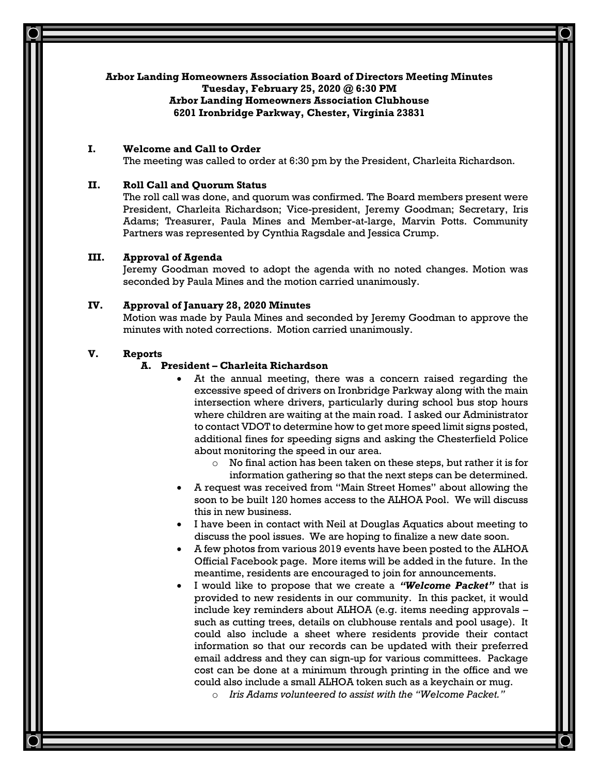## **Arbor Landing Homeowners Association Board of Directors Meeting Minutes**

**Tuesday, February 25, 2020 @ 6:30 PM**

### **Arbor Landing Homeowners Association Clubhouse 6201 Ironbridge Parkway, Chester, Virginia 23831**

# **I. Welcome and Call to Order**

The meeting was called to order at 6:30 pm by the President, Charleita Richardson.

# **II. Roll Call and Quorum Status**

The roll call was done, and quorum was confirmed. The Board members present were President, Charleita Richardson; Vice-president, Jeremy Goodman; Secretary, Iris Adams; Treasurer, Paula Mines and Member-at-large, Marvin Potts. Community Partners was represented by Cynthia Ragsdale and Jessica Crump.

## **III. Approval of Agenda**

Jeremy Goodman moved to adopt the agenda with no noted changes. Motion was seconded by Paula Mines and the motion carried unanimously.

# **IV. Approval of January 28, 2020 Minutes**

Motion was made by Paula Mines and seconded by Jeremy Goodman to approve the minutes with noted corrections. Motion carried unanimously.

#### **V. Reports**

### **A. President – Charleita Richardson**

- At the annual meeting, there was a concern raised regarding the excessive speed of drivers on Ironbridge Parkway along with the main intersection where drivers, particularly during school bus stop hours where children are waiting at the main road. I asked our Administrator to contact VDOT to determine how to get more speed limit signs posted, additional fines for speeding signs and asking the Chesterfield Police about monitoring the speed in our area.
	- o No final action has been taken on these steps, but rather it is for information gathering so that the next steps can be determined.
- A request was received from "Main Street Homes" about allowing the soon to be built 120 homes access to the ALHOA Pool. We will discuss this in new business.
- I have been in contact with Neil at Douglas Aquatics about meeting to discuss the pool issues. We are hoping to finalize a new date soon.
- A few photos from various 2019 events have been posted to the ALHOA Official Facebook page. More items will be added in the future. In the meantime, residents are encouraged to join for announcements.
- I would like to propose that we create a *"Welcome Packet"* that is provided to new residents in our community. In this packet, it would include key reminders about ALHOA (e.g. items needing approvals – such as cutting trees, details on clubhouse rentals and pool usage). It could also include a sheet where residents provide their contact information so that our records can be updated with their preferred email address and they can sign-up for various committees. Package cost can be done at a minimum through printing in the office and we could also include a small ALHOA token such as a keychain or mug.
	- o *Iris Adams volunteered to assist with the "Welcome Packet."*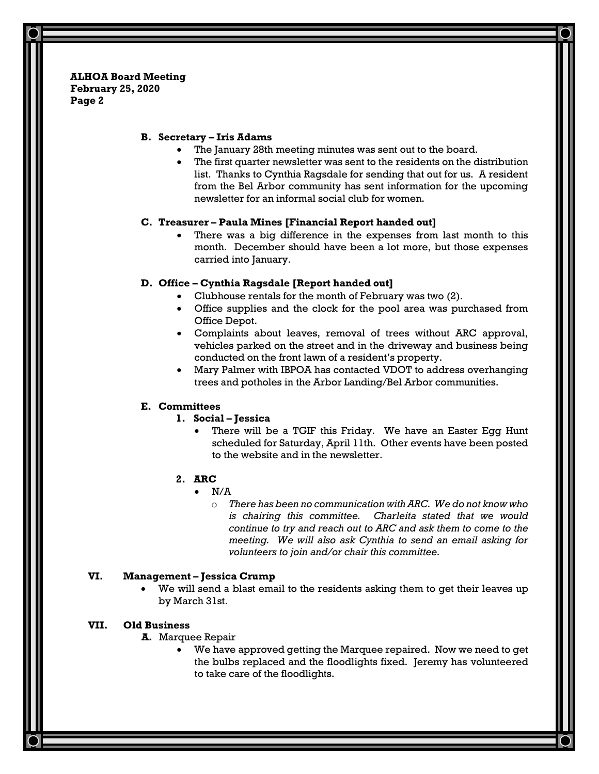**ALHOA Board Meeting February 25, 2020 Page 2**

### **B. Secretary – Iris Adams**

- The January 28th meeting minutes was sent out to the board.
- The first quarter newsletter was sent to the residents on the distribution list. Thanks to Cynthia Ragsdale for sending that out for us. A resident from the Bel Arbor community has sent information for the upcoming newsletter for an informal social club for women.

### **C. Treasurer – Paula Mines [Financial Report handed out]**

There was a big difference in the expenses from last month to this month. December should have been a lot more, but those expenses carried into January.

#### **D. Office – Cynthia Ragsdale [Report handed out]**

- Clubhouse rentals for the month of February was two (2).
- Office supplies and the clock for the pool area was purchased from Office Depot.
- Complaints about leaves, removal of trees without ARC approval, vehicles parked on the street and in the driveway and business being conducted on the front lawn of a resident's property.
- Mary Palmer with IBPOA has contacted VDOT to address overhanging trees and potholes in the Arbor Landing/Bel Arbor communities.

#### **E. Committees**

### **1. Social – Jessica**

• There will be a TGIF this Friday. We have an Easter Egg Hunt scheduled for Saturday, April 11th. Other events have been posted to the website and in the newsletter.

#### **2. ARC**

- $\bullet$  N/A
	- o *There has been no communication with ARC. We do not know who is chairing this committee. Charleita stated that we would continue to try and reach out to ARC and ask them to come to the meeting. We will also ask Cynthia to send an email asking for volunteers to join and/or chair this committee.*

#### **VI. Management – Jessica Crump**

We will send a blast email to the residents asking them to get their leaves up by March 31st.

## **VII. Old Business**

# **A.** Marquee Repair

• We have approved getting the Marquee repaired. Now we need to get the bulbs replaced and the floodlights fixed. Jeremy has volunteered to take care of the floodlights.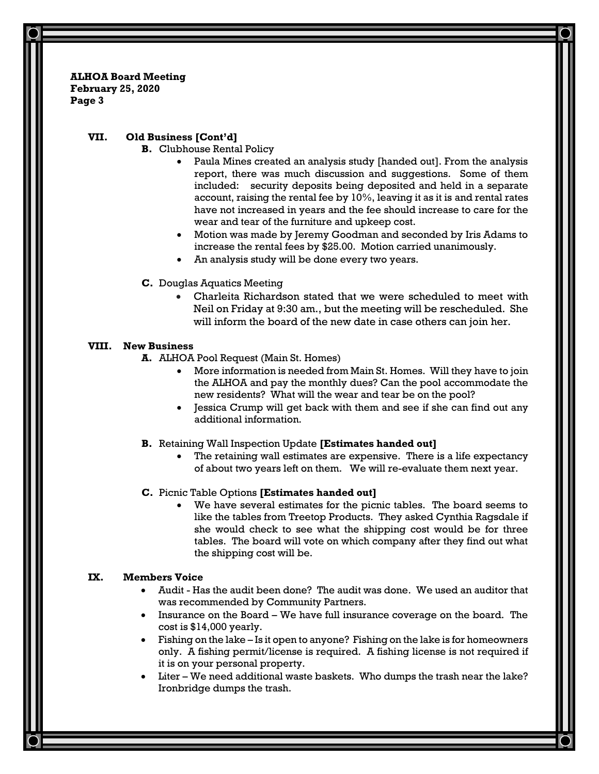**ALHOA Board Meeting February 25, 2020 Page 3**

# **VII. Old Business [Cont'd]**

- **B.** Clubhouse Rental Policy
	- Paula Mines created an analysis study [handed out]. From the analysis report, there was much discussion and suggestions. Some of them included: security deposits being deposited and held in a separate account, raising the rental fee by 10%, leaving it as it is and rental rates have not increased in years and the fee should increase to care for the wear and tear of the furniture and upkeep cost.
	- Motion was made by Jeremy Goodman and seconded by Iris Adams to increase the rental fees by \$25.00. Motion carried unanimously.
	- An analysis study will be done every two years.
- **C.** Douglas Aquatics Meeting
	- Charleita Richardson stated that we were scheduled to meet with Neil on Friday at 9:30 am., but the meeting will be rescheduled. She will inform the board of the new date in case others can join her.

## **VIII. New Business**

- **A.** ALHOA Pool Request (Main St. Homes)
	- More information is needed from Main St. Homes. Will they have to join the ALHOA and pay the monthly dues? Can the pool accommodate the new residents? What will the wear and tear be on the pool?
	- Jessica Crump will get back with them and see if she can find out any additional information.

### **B.** Retaining Wall Inspection Update **[Estimates handed out]**

The retaining wall estimates are expensive. There is a life expectancy of about two years left on them. We will re-evaluate them next year.

### **C.** Picnic Table Options **[Estimates handed out]**

We have several estimates for the picnic tables. The board seems to like the tables from Treetop Products. They asked Cynthia Ragsdale if she would check to see what the shipping cost would be for three tables. The board will vote on which company after they find out what the shipping cost will be.

# **IX. Members Voice**

- Audit Has the audit been done? The audit was done. We used an auditor that was recommended by Community Partners.
- Insurance on the Board We have full insurance coverage on the board. The cost is \$14,000 yearly.
- Fishing on the lake Is it open to anyone? Fishing on the lake is for homeowners only. A fishing permit/license is required. A fishing license is not required if it is on your personal property.
- Liter We need additional waste baskets. Who dumps the trash near the lake? Ironbridge dumps the trash.